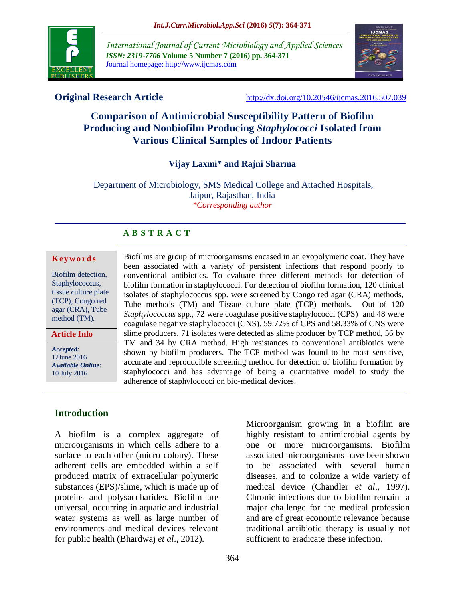

*International Journal of Current Microbiology and Applied Sciences ISSN: 2319-7706* **Volume 5 Number 7 (2016) pp. 364-371** Journal homepage: http://www.ijcmas.com



**Original Research Article** <http://dx.doi.org/10.20546/ijcmas.2016.507.039>

# **Comparison of Antimicrobial Susceptibility Pattern of Biofilm Producing and Nonbiofilm Producing** *Staphylococci* **Isolated from Various Clinical Samples of Indoor Patients**

#### **Vijay Laxmi\* and Rajni Sharma**

Department of Microbiology, SMS Medical College and Attached Hospitals, Jaipur, Rajasthan, India *\*Corresponding author*

#### **A B S T R A C T**

#### **K ey w o rd s**

Biofilm detection, Staphylococcus, tissue culture plate (TCP), Congo red agar (CRA), Tube method (TM).

**Article Info**

*Accepted:*  12June 2016 *Available Online:* 10 July 2016

**Introduction**

A biofilm is a complex aggregate of microorganisms in which cells adhere to a surface to each other (micro colony). These adherent cells are embedded within a self produced matrix of extracellular polymeric substances (EPS)/slime, which is made up of proteins and polysaccharides. Biofilm are universal, occurring in aquatic and industrial water systems as well as large number of environments and medical devices relevant for public health (Bhardwaj *et al*., 2012).

conventional antibiotics. To evaluate three different methods for detection of biofilm formation in staphylococci. For detection of biofilm formation, 120 clinical isolates of staphylococcus spp. were screened by Congo red agar (CRA) methods, Tube methods (TM) and Tissue culture plate (TCP) methods. Out of 120 *Staphylococcus* spp., 72 were coagulase positive staphylococci (CPS) and 48 were coagulase negative staphylococci (CNS). 59.72% of CPS and 58.33% of CNS were slime producers. 71 isolates were detected as slime producer by TCP method, 56 by TM and 34 by CRA method. High resistances to conventional antibiotics were shown by biofilm producers. The TCP method was found to be most sensitive, accurate and reproducible screening method for detection of biofilm formation by staphylococci and has advantage of being a quantitative model to study the adherence of staphylococci on bio-medical devices.

Biofilms are group of microorganisms encased in an exopolymeric coat. They have been associated with a variety of persistent infections that respond poorly to

> Microorganism growing in a biofilm are highly resistant to antimicrobial agents by one or more microorganisms. Biofilm associated microorganisms have been shown to be associated with several human diseases, and to colonize a wide variety of medical device (Chandler *et al*., 1997). Chronic infections due to biofilm remain a major challenge for the medical profession and are of great economic relevance because traditional antibiotic therapy is usually not sufficient to eradicate these infection.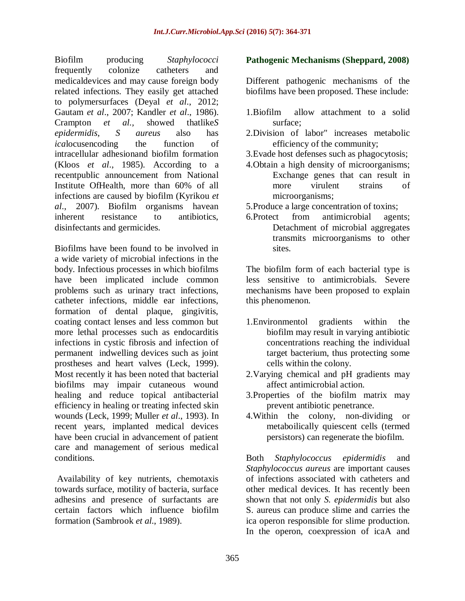Biofilm producing *Staphylococci*  frequently colonize catheters and medicaldevices and may cause foreign body related infections. They easily get attached to polymersurfaces (Deyal *et al*., 2012; Gautam *et al*., 2007; Kandler *et al*., 1986). Crampton *et al.,* showed thatlike*S epidermidis*, *S aureus* also has *ica*locusencoding the function of intracellular adhesionand biofilm formation (Kloos *et al*., 1985). According to a recentpublic announcement from National Institute OfHealth, more than 60% of all infections are caused by biofilm (Kyrikou *et al*., 2007). Biofilm organisms havean inherent resistance to antibiotics, disinfectants and germicides.

Biofilms have been found to be involved in a wide variety of microbial infections in the body. Infectious processes in which biofilms have been implicated include common problems such as urinary tract infections, catheter infections, middle ear infections, formation of dental plaque, gingivitis, coating contact lenses and less common but more lethal processes such as endocarditis infections in cystic fibrosis and infection of permanent indwelling devices such as joint prostheses and heart valves (Leck, 1999). Most recently it has been noted that bacterial biofilms may impair cutaneous wound healing and reduce topical antibacterial efficiency in healing or treating infected skin wounds (Leck, 1999; Muller *et al*., 1993). In recent years, implanted medical devices have been crucial in advancement of patient care and management of serious medical conditions.

Availability of key nutrients, chemotaxis towards surface, motility of bacteria, surface adhesins and presence of surfactants are certain factors which influence biofilm formation (Sambrook *et al*., 1989).

#### **Pathogenic Mechanisms (Sheppard, 2008)**

Different pathogenic mechanisms of the biofilms have been proposed. These include:

- 1.Biofilm allow attachment to a solid surface;
- 2.Division of labor" increases metabolic efficiency of the community;
- 3.Evade host defenses such as phagocytosis;
- 4.Obtain a high density of microorganisms; Exchange genes that can result in more virulent strains of microorganisms;
- 5.Produce a large concentration of toxins;
- 6.Protect from antimicrobial agents; Detachment of microbial aggregates transmits microorganisms to other sites.

The biofilm form of each bacterial type is less sensitive to antimicrobials. Severe mechanisms have been proposed to explain this phenomenon.

- 1.Environmentol gradients within the biofilm may result in varying antibiotic concentrations reaching the individual target bacterium, thus protecting some cells within the colony.
- 2.Varying chemical and pH gradients may affect antimicrobial action.
- 3.Properties of the biofilm matrix may prevent antibiotic penetrance.
- 4.Within the colony, non-dividing or metaboilically quiescent cells (termed persistors) can regenerate the biofilm.

Both *Staphylococcus epidermidis* and *Staphylococcus aureus* are important causes of infections associated with catheters and other medical devices. It has recently been shown that not only *S. epidermidis* but also S. aureus can produce slime and carries the ica operon responsible for slime production. In the operon, coexpression of icaA and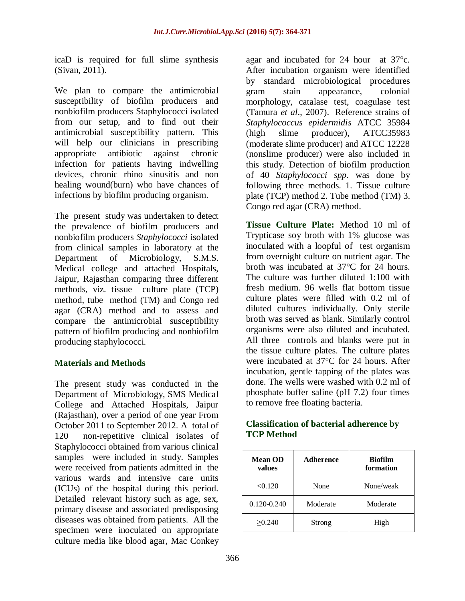icaD is required for full slime synthesis (Sivan, 2011).

We plan to compare the antimicrobial susceptibility of biofilm producers and nonbiofilm producers Staphylococci isolated from our setup, and to find out their antimicrobial susceptibility pattern. This will help our clinicians in prescribing appropriate antibiotic against chronic infection for patients having indwelling devices, chronic rhino sinusitis and non healing wound(burn) who have chances of infections by biofilm producing organism.

The present study was undertaken to detect the prevalence of biofilm producers and nonbiofilm producers *Staphylococci* isolated from clinical samples in laboratory at the Department of Microbiology, S.M.S. Medical college and attached Hospitals, Jaipur, Rajasthan comparing three different methods, viz. tissue culture plate (TCP) method, tube method (TM) and Congo red agar (CRA) method and to assess and compare the antimicrobial susceptibility pattern of biofilm producing and nonbiofilm producing staphylococci.

#### **Materials and Methods**

The present study was conducted in the Department of Microbiology, SMS Medical College and Attached Hospitals, Jaipur (Rajasthan), over a period of one year From October 2011 to September 2012. A total of 120 non-repetitive clinical isolates of Staphylococci obtained from various clinical samples were included in study. Samples were received from patients admitted in the various wards and intensive care units (ICUs) of the hospital during this period. Detailed relevant history such as age, sex, primary disease and associated predisposing diseases was obtained from patients. All the specimen were inoculated on appropriate culture media like blood agar, Mac Conkey

agar and incubated for 24 hour at 37°c. After incubation organism were identified by standard microbiological procedures gram stain appearance, colonial morphology, catalase test, coagulase test (Tamura *et al*., 2007). Reference strains of *Staphylococcus epidermidis* ATCC 35984 (high slime producer), ATCC35983 (moderate slime producer) and ATCC 12228 (nonslime producer) were also included in this study. Detection of biofilm production of 40 *Staphylococci spp*. was done by following three methods. 1. Tissue culture plate (TCP) method 2. Tube method (TM) 3. Congo red agar (CRA) method.

**Tissue Culture Plate:** Method 10 ml of Trypticase soy broth with 1% glucose was inoculated with a loopful of test organism from overnight culture on nutrient agar. The broth was incubated at 37°C for 24 hours. The culture was further diluted 1:100 with fresh medium. 96 wells flat bottom tissue culture plates were filled with 0.2 ml of diluted cultures individually. Only sterile broth was served as blank. Similarly control organisms were also diluted and incubated. All three controls and blanks were put in the tissue culture plates. The culture plates were incubated at 37°C for 24 hours. After incubation, gentle tapping of the plates was done. The wells were washed with 0.2 ml of phosphate buffer saline (pH 7.2) four times to remove free floating bacteria.

#### **Classification of bacterial adherence by TCP Method**

| <b>Mean OD</b><br>values | <b>Adherence</b> | <b>Biofilm</b><br>formation |  |  |
|--------------------------|------------------|-----------------------------|--|--|
| < 0.120                  | None             | None/weak                   |  |  |
| $0.120 - 0.240$          | Moderate         | Moderate                    |  |  |
| >0.240                   | Strong           | High                        |  |  |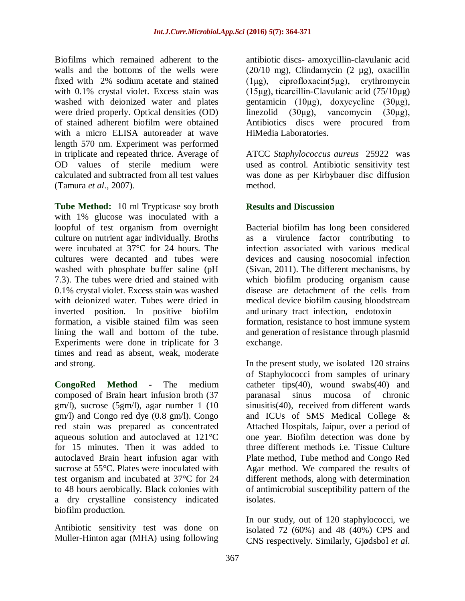Biofilms which remained adherent to the walls and the bottoms of the wells were fixed with 2% sodium acetate and stained with 0.1% crystal violet. Excess stain was washed with deionized water and plates were dried properly. Optical densities (OD) of stained adherent biofilm were obtained with a micro ELISA autoreader at wave length 570 nm. Experiment was performed in triplicate and repeated thrice. Average of OD values of sterile medium were calculated and subtracted from all test values (Tamura *et al*., 2007).

**Tube Method:** 10 ml Trypticase soy broth with 1% glucose was inoculated with a loopful of test organism from overnight culture on nutrient agar individually. Broths were incubated at 37°C for 24 hours. The cultures were decanted and tubes were washed with phosphate buffer saline (pH 7.3). The tubes were dried and stained with 0.1% crystal violet. Excess stain was washed with deionized water. Tubes were dried in inverted position. In positive biofilm formation, a visible stained film was seen lining the wall and bottom of the tube. Experiments were done in triplicate for 3 times and read as absent, weak, moderate and strong.

**CongoRed Method -** The medium composed of Brain heart infusion broth (37 gm/l), sucrose (5gm/l), agar number 1 (10 gm/l) and Congo red dye (0.8 gm/l). Congo red stain was prepared as concentrated aqueous solution and autoclaved at 121°C for 15 minutes. Then it was added to autoclaved Brain heart infusion agar with sucrose at 55°C. Plates were inoculated with test organism and incubated at 37°C for 24 to 48 hours aerobically. Black colonies with a dry crystalline consistency indicated biofilm production.

Antibiotic sensitivity test was done on Muller-Hinton agar (MHA) using following

antibiotic discs- amoxycillin-clavulanic acid (20/10 mg), Clindamycin (2 µg), oxacillin (1μg), ciprofloxacin(5μg), erythromycin (15μg), ticarcillin-Clavulanic acid (75/10μg) gentamicin (10μg), doxycycline (30μg), linezolid (30μg), vancomycin (30μg), Antibiotics discs were procured from HiMedia Laboratories.

ATCC *Staphylococcus aureus* 25922 was used as control. Antibiotic sensitivity test was done as per Kirbybauer disc diffusion method.

### **Results and Discussion**

Bacterial biofilm has long been considered as a virulence factor contributing to infection associated with various medical devices and causing nosocomial infection (Sivan, 2011). The different mechanisms, by which biofilm producing organism cause disease are detachment of the cells from medical device biofilm causing bloodstream and urinary tract infection, endotoxin formation, resistance to host immune system and generation of resistance through plasmid exchange.

In the present study, we isolated 120 strains of Staphylococci from samples of urinary catheter tips $(40)$ , wound swabs $(40)$  and paranasal sinus mucosa of chronic sinusitis(40), received from different wards and ICUs of SMS Medical College & Attached Hospitals, Jaipur, over a period of one year. Biofilm detection was done by three different methods i.e. Tissue Culture Plate method, Tube method and Congo Red Agar method. We compared the results of different methods, along with determination of antimicrobial susceptibility pattern of the isolates.

In our study, out of 120 staphylococci, we isolated 72 (60%) and 48 (40%) CPS and CNS respectively. Similarly, Gjødsbol *et al*.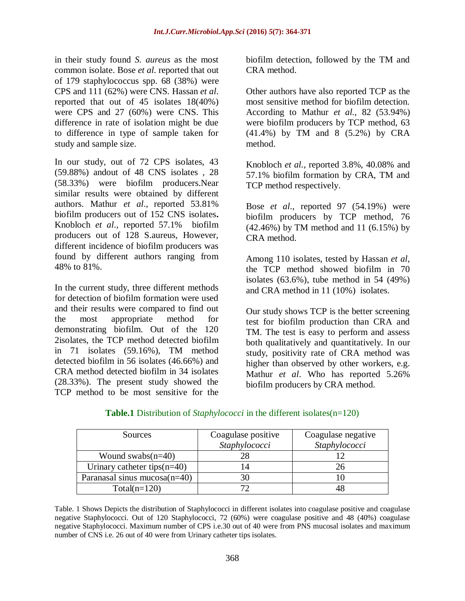in their study found *S. aureus* as the most common isolate. Bose *et al*. reported that out of 179 staphylococcus spp. 68 (38%) were CPS and 111 (62%) were CNS. Hassan *et al*. reported that out of 45 isolates 18(40%) were CPS and 27 (60%) were CNS. This difference in rate of isolation might be due to difference in type of sample taken for study and sample size.

In our study, out of 72 CPS isolates, 43 (59.88%) andout of 48 CNS isolates , 28 (58.33%) were biofilm producers.Near similar results were obtained by different authors. Mathur *et al*., reported 53.81% biofilm producers out of 152 CNS isolates**.**  Knobloch *et al*., reported 57.1% biofilm producers out of 128 S.aureus, However, different incidence of biofilm producers was found by different authors ranging from 48% to 81%.

In the current study, three different methods for detection of biofilm formation were used and their results were compared to find out the most appropriate method for demonstrating biofilm. Out of the 120 2isolates, the TCP method detected biofilm in 71 isolates (59.16%), TM method detected biofilm in 56 isolates (46.66%) and CRA method detected biofilm in 34 isolates (28.33%). The present study showed the TCP method to be most sensitive for the

biofilm detection, followed by the TM and CRA method.

Other authors have also reported TCP as the most sensitive method for biofilm detection. According to Mathur *et al.*, 82 (53.94%) were biofilm producers by TCP method, 63 (41.4%) by TM and 8 (5.2%) by CRA method.

Knobloch *et al.*, reported 3.8%, 40.08% and 57.1% biofilm formation by CRA, TM and TCP method respectively.

Bose *et al*., reported 97 (54.19%) were biofilm producers by TCP method, 76 (42.46%) by TM method and 11 (6.15%) by CRA method.

Among 110 isolates, tested by Hassan *et al*, the TCP method showed biofilm in 70 isolates (63.6%), tube method in 54 (49%) and CRA method in 11 (10%) isolates.

Our study shows TCP is the better screening test for biofilm production than CRA and TM. The test is easy to perform and assess both qualitatively and quantitatively. In our study, positivity rate of CRA method was higher than observed by other workers, e.g. Mathur *et al*. Who has reported 5.26% biofilm producers by CRA method.

| Sources                         | Coagulase positive<br>Staphylococci | Coagulase negative<br>Staphylococci |  |  |
|---------------------------------|-------------------------------------|-------------------------------------|--|--|
|                                 |                                     |                                     |  |  |
| Wound swabs $(n=40)$            | 28                                  |                                     |  |  |
| Urinary catheter tips $(n=40)$  |                                     |                                     |  |  |
| Paranasal sinus mucosa $(n=40)$ | 30                                  |                                     |  |  |
| $Total(n=120)$                  |                                     |                                     |  |  |

#### **Table.1** Distribution of *Staphylococci* in the different isolates(n=120)

Table. 1 Shows Depicts the distribution of Staphylococci in different isolates into coagulase positive and coagulase negative Staphylococci. Out of 120 Staphylococci, 72 (60%) were coagulase positive and 48 (40%) coagulase negative Staphylococci. Maximum number of CPS i.e.30 out of 40 were from PNS mucosal isolates and maximum number of CNS i.e. 26 out of 40 were from Urinary catheter tips isolates.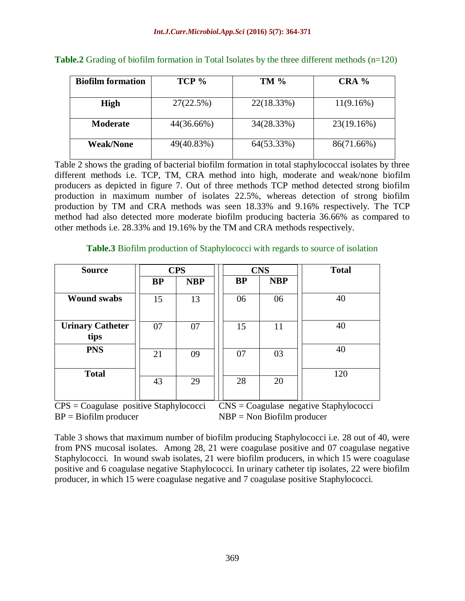| <b>Biofilm formation</b> | $TCP \%$   | <b>TM %</b> | $CRA$ %    |  |  |
|--------------------------|------------|-------------|------------|--|--|
|                          |            |             |            |  |  |
| <b>High</b>              | 27(22.5%)  | 22(18.33%)  | 11(9.16%)  |  |  |
| <b>Moderate</b>          | 44(36.66%) | 34(28.33%)  | 23(19.16%) |  |  |
| <b>Weak/None</b>         | 49(40.83%) | 64(53.33%)  | 86(71.66%) |  |  |

|  |  | <b>Table.2</b> Grading of biofilm formation in Total Isolates by the three different methods $(n=120)$ |  |  |
|--|--|--------------------------------------------------------------------------------------------------------|--|--|
|  |  |                                                                                                        |  |  |

Table 2 shows the grading of bacterial biofilm formation in total staphylococcal isolates by three different methods i.e. TCP, TM, CRA method into high, moderate and weak/none biofilm producers as depicted in figure 7. Out of three methods TCP method detected strong biofilm production in maximum number of isolates 22.5%, whereas detection of strong biofilm production by TM and CRA methods was seen 18.33% and 9.16% respectively. The TCP method had also detected more moderate biofilm producing bacteria 36.66% as compared to other methods i.e. 28.33% and 19.16% by the TM and CRA methods respectively.

#### **Table.3** Biofilm production of Staphylococci with regards to source of isolation

| <b>Source</b>                   | <b>CPS</b> |            |           | <b>CNS</b> | <b>Total</b> |
|---------------------------------|------------|------------|-----------|------------|--------------|
|                                 | <b>BP</b>  | <b>NBP</b> | <b>BP</b> | <b>NBP</b> |              |
| <b>Wound swabs</b>              | 15         | 13         | 06        | 06         | 40           |
| <b>Urinary Catheter</b><br>tips | 07         | 07         | 15        | 11         | 40           |
| <b>PNS</b>                      | 21         | 09         | 07        | 03         | 40           |
| <b>Total</b>                    | 43         | 29         | 28        | 20         | 120          |

CPS = Coagulase positive Staphylococci CNS = Coagulase negative Staphylococci  $BP = Biofilm producer$   $NBP = Non Biofilm producer$ 

Table 3 shows that maximum number of biofilm producing Staphylococci i.e. 28 out of 40, were from PNS mucosal isolates. Among 28, 21 were coagulase positive and 07 coagulase negative Staphylococci. In wound swab isolates, 21 were biofilm producers, in which 15 were coagulase positive and 6 coagulase negative Staphylococci. In urinary catheter tip isolates, 22 were biofilm producer, in which 15 were coagulase negative and 7 coagulase positive Staphylococci.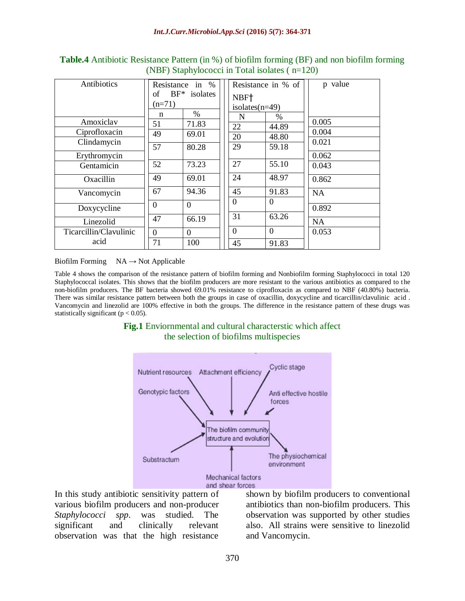| Antibiotics            | Resistance in % |                | Resistance in % of |                | p value   |
|------------------------|-----------------|----------------|--------------------|----------------|-----------|
|                        | of              | $BF*$ isolates | NBF <sup>†</sup>   |                |           |
|                        | $(n=71)$        |                | isolates $(n=49)$  |                |           |
|                        | n               | $\%$           | N<br>$\%$          |                |           |
| Amoxiclav              | 51              | 71.83          | 22                 | 44.89          | 0.005     |
| Ciprofloxacin          | 49              | 69.01          | 20                 | 48.80          | 0.004     |
| Clindamycin            |                 |                |                    |                | 0.021     |
|                        | 57              | 80.28          | 29                 | 59.18          |           |
| Erythromycin           |                 |                |                    |                | 0.062     |
| Gentamicin             | 52              | 73.23          | 27                 | 55.10          | 0.043     |
| Oxacillin              | 49              | 69.01          | 24                 | 48.97          | 0.862     |
| Vancomycin             | 67              | 94.36          | 45                 | 91.83          | <b>NA</b> |
|                        |                 |                | $\Omega$           | $\Omega$       |           |
| Doxycycline            | $\Omega$        | $\Omega$       |                    |                | 0.892     |
| Linezolid              | 47              | 66.19          | 31                 | 63.26          | NA        |
| Ticarcillin/Clavulinic | $\theta$        | $\Omega$       | $\overline{0}$     | $\overline{0}$ | 0.053     |
| acid                   | 71              | 100            | 45                 | 91.83          |           |

**Table.4** Antibiotic Resistance Pattern (in %) of biofilm forming (BF) and non biofilm forming (NBF) Staphylococci in Total isolates ( n=120)

Biofilm Forming  $NA \rightarrow Not$  Applicable

Table 4 shows the comparison of the resistance pattern of biofilm forming and Nonbiofilm forming Staphylococci in total 120 Staphylococcal isolates. This shows that the biofilm producers are more resistant to the various antibiotics as compared to the non-biofilm producers. The BF bacteria showed 69.01% resistance to ciprofloxacin as compared to NBF (40.80%) bacteria. There was similar resistance pattern between both the groups in case of oxacillin, doxycycline and ticarcillin/clavulinic acid . Vancomycin and linezolid are 100% effective in both the groups. The difference in the resistance pattern of these drugs was statistically significant ( $p < 0.05$ ).

#### **Fig.1** Enviornmental and cultural characterstic which affect the selection of biofilms multispecies



In this study antibiotic sensitivity pattern of various biofilm producers and non-producer *Staphylococci spp*. was studied. The significant and clinically relevant observation was that the high resistance

shown by biofilm producers to conventional antibiotics than non-biofilm producers. This observation was supported by other studies also. All strains were sensitive to linezolid and Vancomycin.